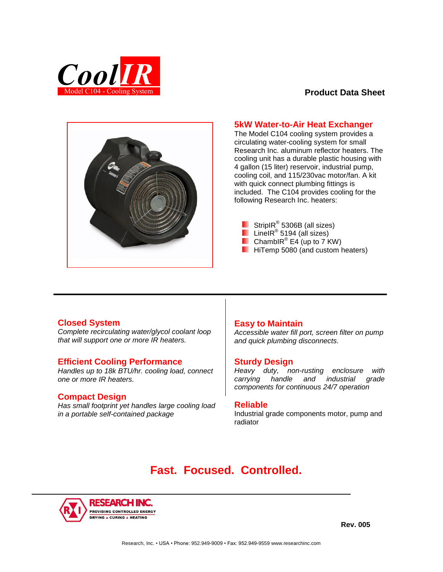

## **Product Data Sheet**



## **5kW Water-to-Air Heat Exchanger**

The Model C104 cooling system provides a circulating water-cooling system for small Research Inc. aluminum reflector heaters. The cooling unit has a durable plastic housing with 4 gallon (15 liter) reservoir, industrial pump, cooling coil, and 115/230vac motor/fan. A kit with quick connect plumbing fittings is included. The C104 provides cooling for the following Research Inc. heaters:

- LineIR® 5194 (all sizes)
- ChambIR<sup>®</sup> E4 (up to 7 KW)
- **Hitemp 5080 (and custom heaters)**

## **Closed System**

*Complete recirculating water/glycol coolant loop that will support one or more IR heaters.* 

# **Efficient Cooling Performance**

*Handles up to 18k BTU/hr. cooling load, connect one or more IR heaters.* 

## **Compact Design**

*Has small footprint yet handles large cooling load in a portable self-contained package* 

## **Easy to Maintain**

*Accessible water fill port, screen filter on pump and quick plumbing disconnects.* 

## **Sturdy Design**

*Heavy duty, non-rusting enclosure with carrying handle and industrial grade components for continuous 24/7 operation*

## **Reliable**

Industrial grade components motor, pump and radiator

# **Fast. Focused. Controlled.**



**Rev. 005**